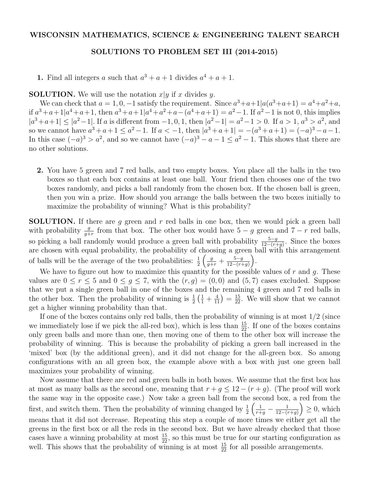## WISCONSIN MATHEMATICS, SCIENCE & ENGINEERING TALENT SEARCH

## SOLUTIONS TO PROBLEM SET III (2014-2015)

1. Find all integers a such that  $a^3 + a + 1$  divides  $a^4 + a + 1$ .

**SOLUTION.** We will use the notation  $x|y$  if x divides y.

We can check that  $a = 1, 0, -1$  satisfy the requirement. Since  $a^3 + a + 1 | a(a^3 + a + 1) = a^4 + a^2 + a$ , if  $a^3 + a + 1 | a^4 + a + 1$ , then  $a^3 + a + 1 | a^4 + a^2 + a - (a^4 + a + 1) = a^2 - 1$ . If  $a^2 - 1$  is not 0, this implies  $|a^3+a+1| \leq |a^2-1|$ . If a is different from  $-1,0,1$ , then  $|a^2-1|=a^2-1>0$ . If  $a>1, a^3>a^2$ , and so we cannot have  $a^3 + a + 1 \le a^2 - 1$ . If  $a < -1$ , then  $|a^3 + a + 1| = -(a^3 + a + 1) = (-a)^3 - a - 1$ . In this case  $(-a)^3 > a^2$ , and so we cannot have  $(-a)^3 - a - 1 \le a^2 - 1$ . This shows that there are no other solutions.

2. You have 5 green and 7 red balls, and two empty boxes. You place all the balls in the two boxes so that each box contains at least one ball. Your friend then chooses one of the two boxes randomly, and picks a ball randomly from the chosen box. If the chosen ball is green, then you win a prize. How should you arrange the balls between the two boxes initially to maximize the probability of winning? What is this probability?

SOLUTION. If there are *g* green and *r* red balls in one box, then we would pick a green ball with probability  $\frac{g}{g+r}$  from that box. The other box would have  $5-g$  green and  $7-r$  red balls, so picking a ball randomly would produce a green ball with probability  $\frac{5-g}{12-(r+g)}$ . Since the boxes are chosen with equal probability, the probability of choosing a green ball with this arrangement of balls will be the average of the two probabilities:  $\frac{1}{2}$  $\left(\frac{g}{g+r} + \frac{5-g}{12-(r+g)}\right)$  $\big).$ 

We have to figure out how to maximize this quantity for the possible values of *r* and *g*. These values are  $0 \le r \le 5$  and  $0 \le g \le 7$ , with the  $(r, g) = (0, 0)$  and  $(5, 7)$  cases excluded. Suppose that we put a single green ball in one of the boxes and the remaining 4 green and 7 red balls in the other box. Then the probability of winning is  $\frac{1}{2}(\frac{1}{1} + \frac{4}{11}) = \frac{15}{22}$ . We will show that we cannot get a higher winning probability than that.

If one of the boxes contains only red balls, then the probability of winning is at most 1*/*2 (since we immediately lose if we pick the all-red box), which is less than  $\frac{15}{22}$ . If one of the boxes contains only green balls and more than one, then moving one of them to the other box will increase the probability of winning. This is because the probability of picking a green ball increased in the 'mixed' box (by the additional green), and it did not change for the all-green box. So among configurations with an all green box, the example above with a box with just one green ball maximizes your probability of winning.

Now assume that there are red and green balls in both boxes. We assume that the first box has at most as many balls as the second one, meaning that  $r + q \leq 12 - (r + q)$ . (The proof will work the same way in the opposite case.) Now take a green ball from the second box, a red from the first, and switch them. Then the probability of winning changed by  $\frac{1}{2}$  $\left(\frac{1}{r+g} - \frac{1}{12-(r+g)}\right)$  $\Big) \geq 0$ , which means that it did not decrease. Repeating this step a couple of more times we either get all the greens in the first box or all the reds in the second box. But we have already checked that those cases have a winning probability at most  $\frac{15}{22}$ , so this must be true for our starting configuration as well. This shows that the probability of winning is at most  $\frac{15}{22}$  for all possible arrangements.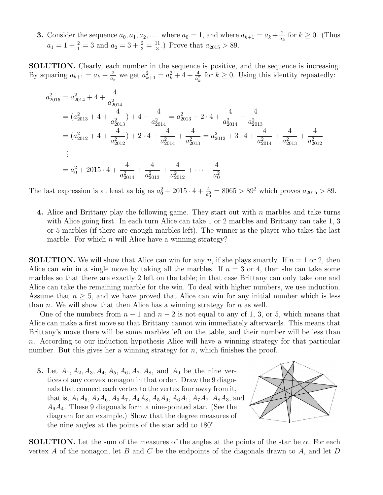**3.** Consider the sequence  $a_0, a_1, a_2, \ldots$  where  $a_0 = 1$ , and where  $a_{k+1} = a_k + \frac{2}{a_k}$  for  $k \ge 0$ . (Thus  $a_1 = 1 + \frac{2}{1} = 3$  and  $a_2 = 3 + \frac{2}{3} = \frac{11}{3}$ .) Prove that  $a_{2015} > 89$ .

SOLUTION. Clearly, each number in the sequence is positive, and the sequence is increasing. By squaring  $a_{k+1} = a_k + \frac{2}{a_k}$  we get  $a_{k+1}^2 = a_k^2 + 4 + \frac{4}{a_k^2}$  for  $k \ge 0$ . Using this identity repeatedly:

$$
a_{2015}^2 = a_{2014}^2 + 4 + \frac{4}{a_{2014}^2}
$$
  
=  $(a_{2013}^2 + 4 + \frac{4}{a_{2013}^2}) + 4 + \frac{4}{a_{2014}^2} = a_{2013}^2 + 2 \cdot 4 + \frac{4}{a_{2014}^2} + \frac{4}{a_{2013}^2}$   
=  $(a_{2012}^2 + 4 + \frac{4}{a_{2012}^2}) + 2 \cdot 4 + \frac{4}{a_{2014}^2} + \frac{4}{a_{2013}^2} = a_{2012}^2 + 3 \cdot 4 + \frac{4}{a_{2014}^2} + \frac{4}{a_{2013}^2} + \frac{4}{a_{2012}^2}$   
:  
=  $a_0^2 + 2015 \cdot 4 + \frac{4}{a_{2014}^2} + \frac{4}{a_{2013}^2} + \frac{4}{a_{2012}^2} + \dots + \frac{4}{a_0^2}$ 

The last expression is at least as big as  $a_0^2 + 2015 \cdot 4 + \frac{4}{a_0^2} = 8065 > 89^2$  which proves  $a_{2015} > 89$ .

4. Alice and Brittany play the following game. They start out with *n* marbles and take turns with Alice going first. In each turn Alice can take 1 or 2 marbles and Brittany can take 1, 3 or 5 marbles (if there are enough marbles left). The winner is the player who takes the last marble. For which *n* will Alice have a winning strategy?

**SOLUTION.** We will show that Alice can win for any *n*, if she plays smartly. If  $n = 1$  or 2, then Alice can win in a single move by taking all the marbles. If  $n = 3$  or 4, then she can take some marbles so that there are exactly 2 left on the table; in that case Brittany can only take one and Alice can take the remaining marble for the win. To deal with higher numbers, we use induction. Assume that  $n \geq 5$ , and we have proved that Alice can win for any initial number which is less than *n*. We will show that then Alice has a winning strategy for *n* as well.

One of the numbers from  $n-1$  and  $n-2$  is not equal to any of 1, 3, or 5, which means that Alice can make a first move so that Brittany cannot win immediately afterwards. This means that Brittany's move there will be some marbles left on the table, and their number will be less than *n*. According to our induction hypothesis Alice will have a winning strategy for that particular number. But this gives her a winning strategy for *n*, which finishes the proof.

5. Let *A*1*, A*2*, A*3*, A*4*, A*5*, A*6*, A*7*, A*8*,* and *A*<sup>9</sup> be the nine vertices of any convex nonagon in that order. Draw the 9 diagonals that connect each vertex to the vertex four away from it, that is,  $A_1A_5$ ,  $A_2A_6$ ,  $A_3A_7$ ,  $A_4A_8$ ,  $A_5A_9$ ,  $A_6A_1$ ,  $A_7A_2$ ,  $A_8A_3$ , and *A*9*A*4. These 9 diagonals form a nine-pointed star. (See the diagram for an example.) Show that the degree measures of the nine angles at the points of the star add to 180<sup>o</sup>.



**SOLUTION.** Let the sum of the measures of the angles at the points of the star be  $\alpha$ . For each vertex *A* of the nonagon, let *B* and *C* be the endpoints of the diagonals drawn to *A*, and let *D*